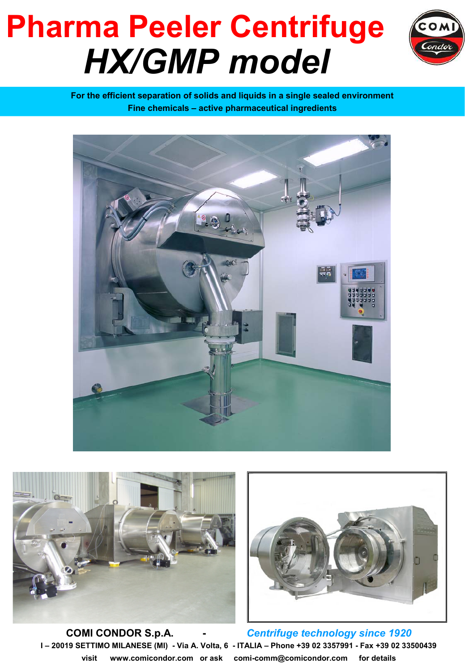## **Pharma Peeler Centrifuge** *HX/GMP model*



**For the efficient separation of solids and liquids in a single sealed environment Fine chemicals – active pharmaceutical ingredients**







**COMI CONDOR S.p.A. -** *Centrifuge technology since 1920* **I – 20019 SETTIMO MILANESE (MI) - Via A. Volta, 6 - ITALIA – Phone +39 02 3357991 - Fax +39 02 33500439 visit www.comicondor.com or ask comi-comm@comicondor.com for details**